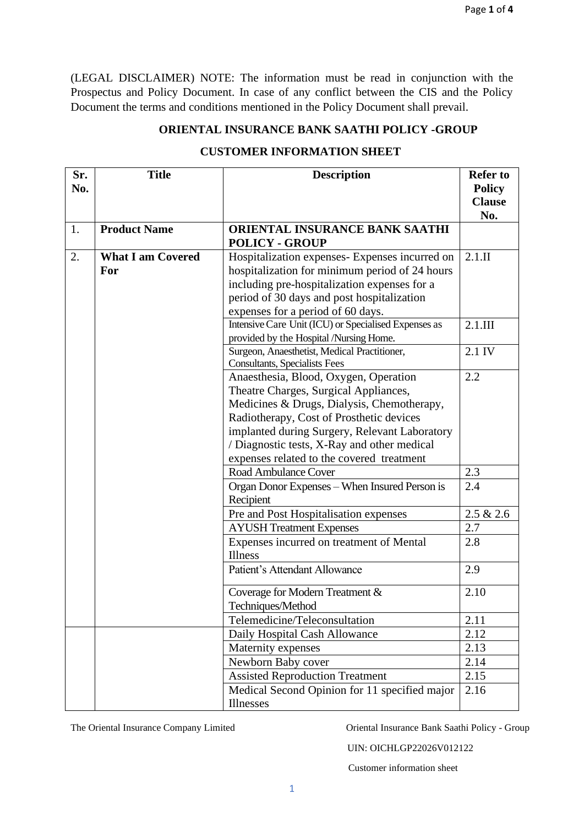(LEGAL DISCLAIMER) NOTE: The information must be read in conjunction with the Prospectus and Policy Document. In case of any conflict between the CIS and the Policy Document the terms and conditions mentioned in the Policy Document shall prevail.

## **ORIENTAL INSURANCE BANK SAATHI POLICY -GROUP**

| Sr. | <b>Title</b>             | <b>Description</b>                                                                   | <b>Refer to</b> |
|-----|--------------------------|--------------------------------------------------------------------------------------|-----------------|
| No. |                          |                                                                                      | <b>Policy</b>   |
|     |                          |                                                                                      | <b>Clause</b>   |
|     |                          |                                                                                      | No.             |
| 1.  | <b>Product Name</b>      | ORIENTAL INSURANCE BANK SAATHI                                                       |                 |
|     |                          | <b>POLICY - GROUP</b>                                                                |                 |
| 2.  | <b>What I am Covered</b> | Hospitalization expenses- Expenses incurred on                                       | $2.1 \text{.}$  |
|     | For                      | hospitalization for minimum period of 24 hours                                       |                 |
|     |                          | including pre-hospitalization expenses for a                                         |                 |
|     |                          | period of 30 days and post hospitalization                                           |                 |
|     |                          | expenses for a period of 60 days.                                                    |                 |
|     |                          | Intensive Care Unit (ICU) or Specialised Expenses as                                 | $2.1$ .III      |
|     |                          | provided by the Hospital /Nursing Home.                                              |                 |
|     |                          | Surgeon, Anaesthetist, Medical Practitioner,<br><b>Consultants, Specialists Fees</b> | 2.1 IV          |
|     |                          | Anaesthesia, Blood, Oxygen, Operation                                                | 2.2             |
|     |                          | Theatre Charges, Surgical Appliances,                                                |                 |
|     |                          | Medicines & Drugs, Dialysis, Chemotherapy,                                           |                 |
|     |                          | Radiotherapy, Cost of Prosthetic devices                                             |                 |
|     |                          | implanted during Surgery, Relevant Laboratory                                        |                 |
|     |                          | / Diagnostic tests, X-Ray and other medical                                          |                 |
|     |                          | expenses related to the covered treatment                                            |                 |
|     |                          | <b>Road Ambulance Cover</b>                                                          | 2.3             |
|     |                          | Organ Donor Expenses - When Insured Person is                                        | 2.4             |
|     |                          | Recipient                                                                            |                 |
|     |                          | Pre and Post Hospitalisation expenses                                                | 2.5 & 2.6       |
|     |                          | <b>AYUSH Treatment Expenses</b>                                                      | 2.7             |
|     |                          | Expenses incurred on treatment of Mental                                             | 2.8             |
|     |                          | Illness                                                                              |                 |
|     |                          | <b>Patient's Attendant Allowance</b>                                                 | 2.9             |
|     |                          | Coverage for Modern Treatment &                                                      | 2.10            |
|     |                          | Techniques/Method                                                                    |                 |
|     |                          | Telemedicine/Teleconsultation                                                        | 2.11            |
|     |                          | Daily Hospital Cash Allowance                                                        | 2.12            |
|     |                          | Maternity expenses                                                                   | 2.13            |
|     |                          | Newborn Baby cover                                                                   | 2.14            |
|     |                          | <b>Assisted Reproduction Treatment</b>                                               | 2.15            |
|     |                          | Medical Second Opinion for 11 specified major                                        | 2.16            |
|     |                          | Illnesses                                                                            |                 |

## **CUSTOMER INFORMATION SHEET**

The Oriental Insurance Company Limited Oriental Insurance Bank Saathi Policy - Group

UIN: OICHLGP22026V012122

Customer information sheet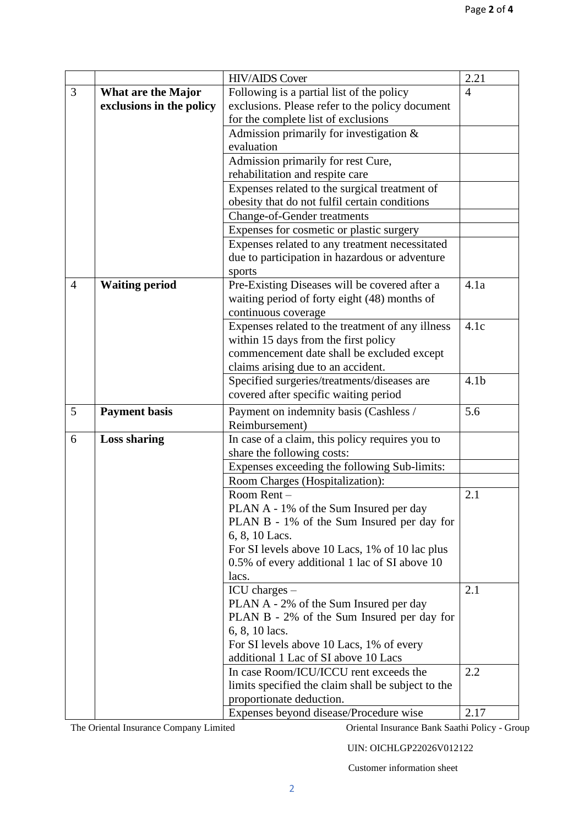|                |                          | <b>HIV/AIDS Cover</b>                              | 2.21             |
|----------------|--------------------------|----------------------------------------------------|------------------|
| 3              | What are the Major       | Following is a partial list of the policy          | $\overline{4}$   |
|                | exclusions in the policy | exclusions. Please refer to the policy document    |                  |
|                |                          | for the complete list of exclusions                |                  |
|                |                          | Admission primarily for investigation $\&$         |                  |
|                |                          | evaluation                                         |                  |
|                |                          | Admission primarily for rest Cure,                 |                  |
|                |                          | rehabilitation and respite care                    |                  |
|                |                          | Expenses related to the surgical treatment of      |                  |
|                |                          | obesity that do not fulfil certain conditions      |                  |
|                |                          | <b>Change-of-Gender treatments</b>                 |                  |
|                |                          | Expenses for cosmetic or plastic surgery           |                  |
|                |                          | Expenses related to any treatment necessitated     |                  |
|                |                          | due to participation in hazardous or adventure     |                  |
|                |                          | sports                                             |                  |
| $\overline{4}$ | <b>Waiting period</b>    | Pre-Existing Diseases will be covered after a      | 4.1a             |
|                |                          | waiting period of forty eight (48) months of       |                  |
|                |                          | continuous coverage                                |                  |
|                |                          | Expenses related to the treatment of any illness   | 4.1c             |
|                |                          | within 15 days from the first policy               |                  |
|                |                          | commencement date shall be excluded except         |                  |
|                |                          | claims arising due to an accident.                 |                  |
|                |                          | Specified surgeries/treatments/diseases are        | 4.1 <sub>b</sub> |
|                |                          | covered after specific waiting period              |                  |
| 5              | <b>Payment basis</b>     | Payment on indemnity basis (Cashless /             | 5.6              |
|                |                          | Reimbursement)                                     |                  |
| 6              | <b>Loss sharing</b>      | In case of a claim, this policy requires you to    |                  |
|                |                          | share the following costs:                         |                  |
|                |                          | Expenses exceeding the following Sub-limits:       |                  |
|                |                          | Room Charges (Hospitalization):                    |                  |
|                |                          | Room Rent-                                         | 2.1              |
|                |                          | PLAN A - 1% of the Sum Insured per day             |                  |
|                |                          | PLAN B - 1% of the Sum Insured per day for         |                  |
|                |                          | 6, 8, 10 Lacs.                                     |                  |
|                |                          | For SI levels above 10 Lacs, 1% of 10 lac plus     |                  |
|                |                          | 0.5% of every additional 1 lac of SI above 10      |                  |
|                |                          | lacs.                                              |                  |
|                |                          | $ICU$ charges $-$                                  | 2.1              |
|                |                          | PLAN A - 2% of the Sum Insured per day             |                  |
|                |                          | PLAN B - 2% of the Sum Insured per day for         |                  |
|                |                          | 6, 8, 10 lacs.                                     |                  |
|                |                          | For SI levels above 10 Lacs, 1% of every           |                  |
|                |                          | additional 1 Lac of SI above 10 Lacs               |                  |
|                |                          | In case Room/ICU/ICCU rent exceeds the             | 2.2              |
|                |                          | limits specified the claim shall be subject to the |                  |
|                |                          | proportionate deduction.                           |                  |
|                |                          | Expenses beyond disease/Procedure wise             | 2.17             |

The Oriental Insurance Company Limited Oriental Insurance Bank Saathi Policy - Group

UIN: OICHLGP22026V012122

Customer information sheet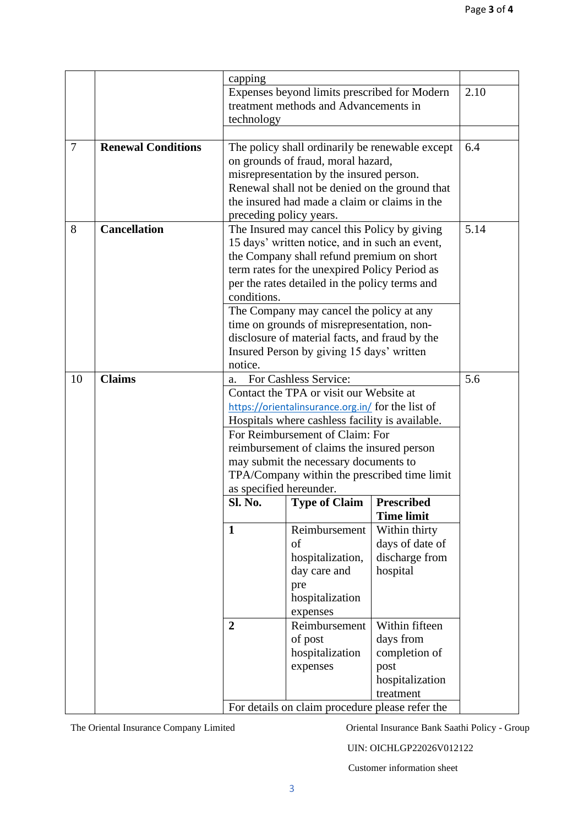|        |                           | capping                                                                 |                                                   |                   |      |
|--------|---------------------------|-------------------------------------------------------------------------|---------------------------------------------------|-------------------|------|
|        |                           | Expenses beyond limits prescribed for Modern                            |                                                   |                   | 2.10 |
|        |                           | treatment methods and Advancements in                                   |                                                   |                   |      |
|        |                           | technology                                                              |                                                   |                   |      |
|        |                           |                                                                         |                                                   |                   |      |
| $\tau$ | <b>Renewal Conditions</b> | The policy shall ordinarily be renewable except                         |                                                   |                   | 6.4  |
|        |                           |                                                                         | on grounds of fraud, moral hazard,                |                   |      |
|        |                           |                                                                         | misrepresentation by the insured person.          |                   |      |
|        |                           | Renewal shall not be denied on the ground that                          |                                                   |                   |      |
|        |                           | the insured had made a claim or claims in the                           |                                                   |                   |      |
|        |                           | preceding policy years.                                                 |                                                   |                   |      |
| 8      | <b>Cancellation</b>       | The Insured may cancel this Policy by giving                            | 5.14                                              |                   |      |
|        |                           | 15 days' written notice, and in such an event,                          |                                                   |                   |      |
|        |                           |                                                                         | the Company shall refund premium on short         |                   |      |
|        |                           | term rates for the unexpired Policy Period as                           |                                                   |                   |      |
|        |                           |                                                                         | per the rates detailed in the policy terms and    |                   |      |
|        |                           | conditions.                                                             |                                                   |                   |      |
|        |                           | The Company may cancel the policy at any                                |                                                   |                   |      |
|        |                           | time on grounds of misrepresentation, non-                              |                                                   |                   |      |
|        |                           | disclosure of material facts, and fraud by the                          |                                                   |                   |      |
|        |                           | Insured Person by giving 15 days' written                               |                                                   |                   |      |
|        |                           | notice.                                                                 |                                                   |                   |      |
| 10     | <b>Claims</b>             | a.                                                                      | For Cashless Service:                             |                   | 5.6  |
|        |                           |                                                                         | Contact the TPA or visit our Website at           |                   |      |
|        |                           |                                                                         | https://orientalinsurance.org.in/ for the list of |                   |      |
|        |                           | Hospitals where cashless facility is available.                         |                                                   |                   |      |
|        |                           | For Reimbursement of Claim: For                                         |                                                   |                   |      |
|        |                           | reimbursement of claims the insured person                              |                                                   |                   |      |
|        |                           | may submit the necessary documents to                                   |                                                   |                   |      |
|        |                           | TPA/Company within the prescribed time limit<br>as specified hereunder. |                                                   |                   |      |
|        |                           | Sl. No.                                                                 | <b>Type of Claim</b>                              | <b>Prescribed</b> |      |
|        |                           |                                                                         |                                                   | <b>Time limit</b> |      |
|        |                           | $\mathbf{1}$                                                            | Reimbursement                                     | Within thirty     |      |
|        |                           |                                                                         | of                                                | days of date of   |      |
|        |                           |                                                                         | hospitalization,                                  | discharge from    |      |
|        |                           |                                                                         | day care and                                      | hospital          |      |
|        |                           |                                                                         | pre                                               |                   |      |
|        |                           |                                                                         | hospitalization                                   |                   |      |
|        |                           |                                                                         | expenses                                          |                   |      |
|        |                           | $\overline{2}$                                                          | Reimbursement                                     | Within fifteen    |      |
|        |                           |                                                                         | of post                                           | days from         |      |
|        |                           |                                                                         | hospitalization                                   | completion of     |      |
|        |                           |                                                                         | expenses                                          | post              |      |
|        |                           |                                                                         |                                                   | hospitalization   |      |
|        |                           |                                                                         |                                                   | treatment         |      |
|        |                           | For details on claim procedure please refer the                         |                                                   |                   |      |

The Oriental Insurance Company Limited Oriental Insurance Bank Saathi Policy - Group

UIN: OICHLGP22026V012122

Customer information sheet